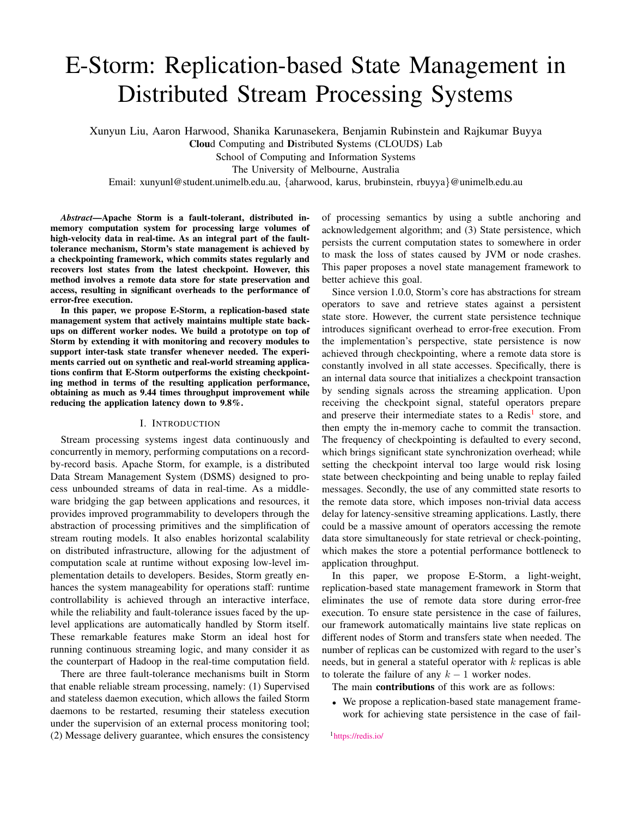# E-Storm: Replication-based State Management in Distributed Stream Processing Systems

Xunyun Liu, Aaron Harwood, Shanika Karunasekera, Benjamin Rubinstein and Rajkumar Buyya

Cloud Computing and Distributed Systems (CLOUDS) Lab

School of Computing and Information Systems

The University of Melbourne, Australia

Email: xunyunl@student.unimelb.edu.au, {aharwood, karus, brubinstein, rbuyya}@unimelb.edu.au

*Abstract*—Apache Storm is a fault-tolerant, distributed inmemory computation system for processing large volumes of high-velocity data in real-time. As an integral part of the faulttolerance mechanism, Storm's state management is achieved by a checkpointing framework, which commits states regularly and recovers lost states from the latest checkpoint. However, this method involves a remote data store for state preservation and access, resulting in significant overheads to the performance of error-free execution.

In this paper, we propose E-Storm, a replication-based state management system that actively maintains multiple state backups on different worker nodes. We build a prototype on top of Storm by extending it with monitoring and recovery modules to support inter-task state transfer whenever needed. The experiments carried out on synthetic and real-world streaming applications confirm that E-Storm outperforms the existing checkpointing method in terms of the resulting application performance, obtaining as much as 9.44 times throughput improvement while reducing the application latency down to 9.8%.

#### I. INTRODUCTION

<span id="page-0-1"></span>Stream processing systems ingest data continuously and concurrently in memory, performing computations on a recordby-record basis. Apache Storm, for example, is a distributed Data Stream Management System (DSMS) designed to process unbounded streams of data in real-time. As a middleware bridging the gap between applications and resources, it provides improved programmability to developers through the abstraction of processing primitives and the simplification of stream routing models. It also enables horizontal scalability on distributed infrastructure, allowing for the adjustment of computation scale at runtime without exposing low-level implementation details to developers. Besides, Storm greatly enhances the system manageability for operations staff: runtime controllability is achieved through an interactive interface, while the reliability and fault-tolerance issues faced by the uplevel applications are automatically handled by Storm itself. These remarkable features make Storm an ideal host for running continuous streaming logic, and many consider it as the counterpart of Hadoop in the real-time computation field.

There are three fault-tolerance mechanisms built in Storm that enable reliable stream processing, namely: (1) Supervised and stateless daemon execution, which allows the failed Storm daemons to be restarted, resuming their stateless execution under the supervision of an external process monitoring tool; (2) Message delivery guarantee, which ensures the consistency

of processing semantics by using a subtle anchoring and acknowledgement algorithm; and (3) State persistence, which persists the current computation states to somewhere in order to mask the loss of states caused by JVM or node crashes. This paper proposes a novel state management framework to better achieve this goal.

Since version 1.0.0, Storm's core has abstractions for stream operators to save and retrieve states against a persistent state store. However, the current state persistence technique introduces significant overhead to error-free execution. From the implementation's perspective, state persistence is now achieved through checkpointing, where a remote data store is constantly involved in all state accesses. Specifically, there is an internal data source that initializes a checkpoint transaction by sending signals across the streaming application. Upon receiving the checkpoint signal, stateful operators prepare and preserve their intermediate states to a Redis<sup>[1](#page-0-0)</sup> store, and then empty the in-memory cache to commit the transaction. The frequency of checkpointing is defaulted to every second, which brings significant state synchronization overhead; while setting the checkpoint interval too large would risk losing state between checkpointing and being unable to replay failed messages. Secondly, the use of any committed state resorts to the remote data store, which imposes non-trivial data access delay for latency-sensitive streaming applications. Lastly, there could be a massive amount of operators accessing the remote data store simultaneously for state retrieval or check-pointing, which makes the store a potential performance bottleneck to application throughput.

In this paper, we propose E-Storm, a light-weight, replication-based state management framework in Storm that eliminates the use of remote data store during error-free execution. To ensure state persistence in the case of failures, our framework automatically maintains live state replicas on different nodes of Storm and transfers state when needed. The number of replicas can be customized with regard to the user's needs, but in general a stateful operator with  $k$  replicas is able to tolerate the failure of any  $k - 1$  worker nodes.

The main contributions of this work are as follows:

• We propose a replication-based state management framework for achieving state persistence in the case of fail-

<span id="page-0-0"></span><sup>1</sup><https://redis.io/>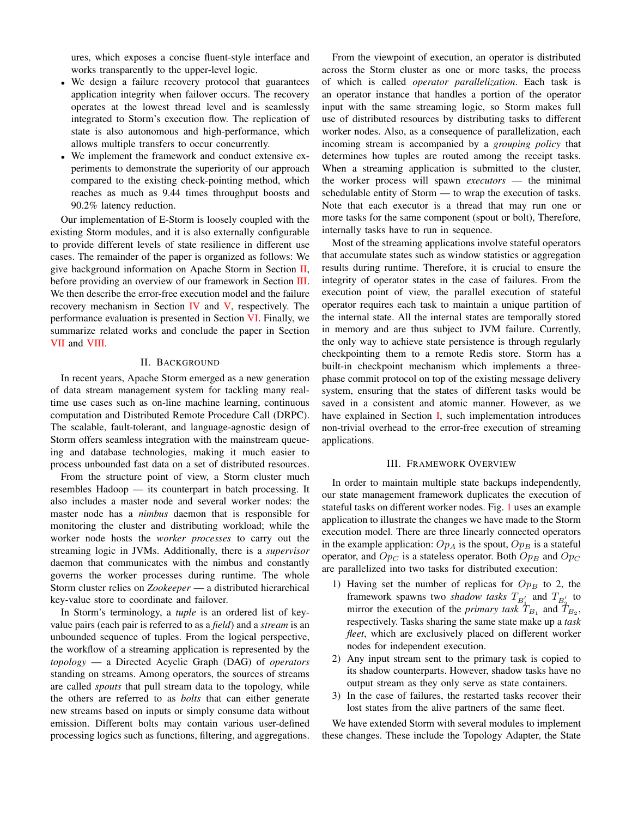ures, which exposes a concise fluent-style interface and works transparently to the upper-level logic.

- We design a failure recovery protocol that guarantees application integrity when failover occurs. The recovery operates at the lowest thread level and is seamlessly integrated to Storm's execution flow. The replication of state is also autonomous and high-performance, which allows multiple transfers to occur concurrently.
- We implement the framework and conduct extensive experiments to demonstrate the superiority of our approach compared to the existing check-pointing method, which reaches as much as 9.44 times throughput boosts and 90.2% latency reduction.

Our implementation of E-Storm is loosely coupled with the existing Storm modules, and it is also externally configurable to provide different levels of state resilience in different use cases. The remainder of the paper is organized as follows: We give background information on Apache Storm in Section [II,](#page-1-0) before providing an overview of our framework in Section [III.](#page-1-1) We then describe the error-free execution model and the failure recovery mechanism in Section [IV](#page-2-0) and [V,](#page-3-0) respectively. The performance evaluation is presented in Section [VI.](#page-4-0) Finally, we summarize related works and conclude the paper in Section [VII](#page-8-0) and [VIII.](#page-9-0)

# II. BACKGROUND

<span id="page-1-0"></span>In recent years, Apache Storm emerged as a new generation of data stream management system for tackling many realtime use cases such as on-line machine learning, continuous computation and Distributed Remote Procedure Call (DRPC). The scalable, fault-tolerant, and language-agnostic design of Storm offers seamless integration with the mainstream queueing and database technologies, making it much easier to process unbounded fast data on a set of distributed resources.

From the structure point of view, a Storm cluster much resembles Hadoop — its counterpart in batch processing. It also includes a master node and several worker nodes: the master node has a *nimbus* daemon that is responsible for monitoring the cluster and distributing workload; while the worker node hosts the *worker processes* to carry out the streaming logic in JVMs. Additionally, there is a *supervisor* daemon that communicates with the nimbus and constantly governs the worker processes during runtime. The whole Storm cluster relies on *Zookeeper* — a distributed hierarchical key-value store to coordinate and failover.

In Storm's terminology, a *tuple* is an ordered list of keyvalue pairs (each pair is referred to as a *field*) and a *stream* is an unbounded sequence of tuples. From the logical perspective, the workflow of a streaming application is represented by the *topology* — a Directed Acyclic Graph (DAG) of *operators* standing on streams. Among operators, the sources of streams are called *spouts* that pull stream data to the topology, while the others are referred to as *bolts* that can either generate new streams based on inputs or simply consume data without emission. Different bolts may contain various user-defined processing logics such as functions, filtering, and aggregations.

From the viewpoint of execution, an operator is distributed across the Storm cluster as one or more tasks, the process of which is called *operator parallelization*. Each task is an operator instance that handles a portion of the operator input with the same streaming logic, so Storm makes full use of distributed resources by distributing tasks to different worker nodes. Also, as a consequence of parallelization, each incoming stream is accompanied by a *grouping policy* that determines how tuples are routed among the receipt tasks. When a streaming application is submitted to the cluster, the worker process will spawn *executors* — the minimal schedulable entity of Storm — to wrap the execution of tasks. Note that each executor is a thread that may run one or more tasks for the same component (spout or bolt), Therefore, internally tasks have to run in sequence.

Most of the streaming applications involve stateful operators that accumulate states such as window statistics or aggregation results during runtime. Therefore, it is crucial to ensure the integrity of operator states in the case of failures. From the execution point of view, the parallel execution of stateful operator requires each task to maintain a unique partition of the internal state. All the internal states are temporally stored in memory and are thus subject to JVM failure. Currently, the only way to achieve state persistence is through regularly checkpointing them to a remote Redis store. Storm has a built-in checkpoint mechanism which implements a threephase commit protocol on top of the existing message delivery system, ensuring that the states of different tasks would be saved in a consistent and atomic manner. However, as we have explained in Section [I,](#page-0-1) such implementation introduces non-trivial overhead to the error-free execution of streaming applications.

#### III. FRAMEWORK OVERVIEW

<span id="page-1-1"></span>In order to maintain multiple state backups independently, our state management framework duplicates the execution of stateful tasks on different worker nodes. Fig. [1](#page-2-1) uses an example application to illustrate the changes we have made to the Storm execution model. There are three linearly connected operators in the example application:  $Op_A$  is the spout,  $Op_B$  is a stateful operator, and  $Op_C$  is a stateless operator. Both  $Op_B$  and  $Op_C$ are parallelized into two tasks for distributed execution:

- 1) Having set the number of replicas for  $Op_B$  to 2, the framework spawns two *shadow tasks*  $T_{B'_\n\perp}$  and  $T_{B'_2}$  to mirror the execution of the *primary task*  $T_{B_1}$  and  $\bar{T}_{B_2}$ , respectively. Tasks sharing the same state make up a *task fleet*, which are exclusively placed on different worker nodes for independent execution.
- 2) Any input stream sent to the primary task is copied to its shadow counterparts. However, shadow tasks have no output stream as they only serve as state containers.
- 3) In the case of failures, the restarted tasks recover their lost states from the alive partners of the same fleet.

We have extended Storm with several modules to implement these changes. These include the Topology Adapter, the State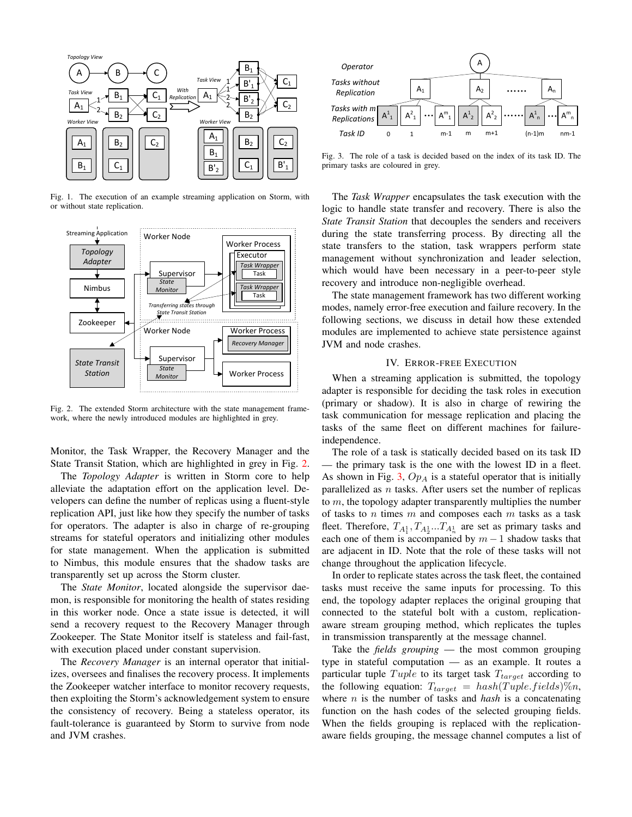

<span id="page-2-1"></span>Fig. 1. The execution of an example streaming application on Storm, with or without state replication.



<span id="page-2-2"></span>Fig. 2. The extended Storm architecture with the state management framework, where the newly introduced modules are highlighted in grey.

Monitor, the Task Wrapper, the Recovery Manager and the State Transit Station, which are highlighted in grey in Fig. [2.](#page-2-2)

The *Topology Adapter* is written in Storm core to help alleviate the adaptation effort on the application level. Developers can define the number of replicas using a fluent-style replication API, just like how they specify the number of tasks for operators. The adapter is also in charge of re-grouping streams for stateful operators and initializing other modules for state management. When the application is submitted to Nimbus, this module ensures that the shadow tasks are transparently set up across the Storm cluster.

The *State Monitor*, located alongside the supervisor daemon, is responsible for monitoring the health of states residing in this worker node. Once a state issue is detected, it will send a recovery request to the Recovery Manager through Zookeeper. The State Monitor itself is stateless and fail-fast, with execution placed under constant supervision.

The *Recovery Manager* is an internal operator that initializes, oversees and finalises the recovery process. It implements the Zookeeper watcher interface to monitor recovery requests, then exploiting the Storm's acknowledgement system to ensure the consistency of recovery. Being a stateless operator, its fault-tolerance is guaranteed by Storm to survive from node and JVM crashes.



<span id="page-2-3"></span>Fig. 3. The role of a task is decided based on the index of its task ID. The primary tasks are coloured in grey.

The *Task Wrapper* encapsulates the task execution with the logic to handle state transfer and recovery. There is also the *State Transit Station* that decouples the senders and receivers during the state transferring process. By directing all the state transfers to the station, task wrappers perform state management without synchronization and leader selection, which would have been necessary in a peer-to-peer style recovery and introduce non-negligible overhead.

The state management framework has two different working modes, namely error-free execution and failure recovery. In the following sections, we discuss in detail how these extended modules are implemented to achieve state persistence against JVM and node crashes.

# IV. ERROR-FREE EXECUTION

<span id="page-2-0"></span>When a streaming application is submitted, the topology adapter is responsible for deciding the task roles in execution (primary or shadow). It is also in charge of rewiring the task communication for message replication and placing the tasks of the same fleet on different machines for failureindependence.

The role of a task is statically decided based on its task ID — the primary task is the one with the lowest ID in a fleet. As shown in Fig. [3,](#page-2-3)  $Op<sub>A</sub>$  is a stateful operator that is initially parallelized as  $n$  tasks. After users set the number of replicas to m, the topology adapter transparently multiplies the number of tasks to  $n$  times  $m$  and composes each  $m$  tasks as a task fleet. Therefore,  $T_{A_1^1}, T_{A_2^1}...T_{A_n^1}$  are set as primary tasks and each one of them is accompanied by  $m-1$  shadow tasks that are adjacent in ID. Note that the role of these tasks will not change throughout the application lifecycle.

In order to replicate states across the task fleet, the contained tasks must receive the same inputs for processing. To this end, the topology adapter replaces the original grouping that connected to the stateful bolt with a custom, replicationaware stream grouping method, which replicates the tuples in transmission transparently at the message channel.

Take the *fields grouping* — the most common grouping type in stateful computation — as an example. It routes a particular tuple  $Tuple$  to its target task  $T_{target}$  according to the following equation:  $T_{target} = hash(Tuple.fields)\%n$ , where n is the number of tasks and *hash* is a concatenating function on the hash codes of the selected grouping fields. When the fields grouping is replaced with the replicationaware fields grouping, the message channel computes a list of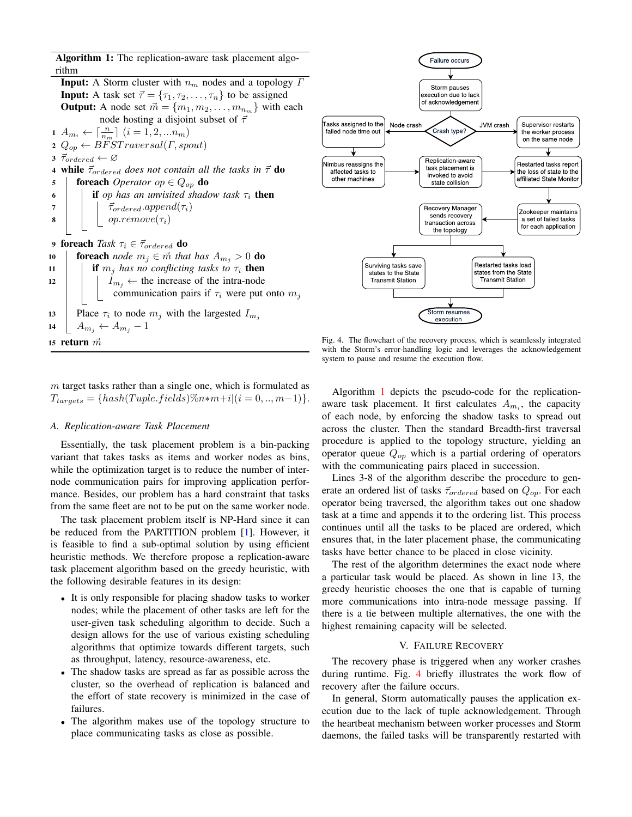Algorithm 1: The replication-aware task placement algorithm

**Input:** A Storm cluster with  $n_m$  nodes and a topology  $\Gamma$ **Input:** A task set  $\vec{\tau} = {\tau_1, \tau_2, \dots, \tau_n}$  to be assigned **Output:** A node set  $\vec{m} = \{m_1, m_2, \dots, m_{n_m}\}\$  with each node hosting a disjoint subset of  $\vec{\tau}$  $1 \ A_{m_i} \leftarrow \lceil \frac{n}{n_m} \rceil \ (i = 1, 2, ... n_m)$ 2  $Q_{op} \leftarrow \widetilde{BFSTraversal}(\Gamma, spout)$ 3  $\vec{\tau}_{ordered} \leftarrow \varnothing$ 4 while  $\vec{\tau}_{ordered}$  does not contain all the tasks in  $\vec{\tau}$  do 5 **foreach** *Operator op* ∈  $Q_{op}$  **do** 6 **i** if op has an unvisited shadow task  $\tau_i$  then 7  $\vec{\tau}_{ordered}$ .append $(\tau_i)$  $\vert \vert \vert$  op.remove $(\tau_i)$ 9 foreach *Task*  $\tau_i \in \vec{\tau}_{ordered}$  do 10 **foreach** *node*  $m_j \in \mathbf{m}$  *that has*  $A_{m_j} > 0$  **do** 11 **if**  $m_i$  *has no conflicting tasks to*  $\tau_i$  **then** 12 | |  $I_{m_i} \leftarrow$  the increase of the intra-node communication pairs if  $\tau_i$  were put onto  $m_j$ 13 | Place  $\tau_i$  to node  $m_j$  with the largested  $I_{m_j}$ 14  $A_{m_j} \leftarrow A_{m_j} - 1$ 15 return  $\vec{m}$ 



<span id="page-3-2"></span>Fig. 4. The flowchart of the recovery process, which is seamlessly integrated with the Storm's error-handling logic and leverages the acknowledgement system to pause and resume the execution flow.

<span id="page-3-1"></span> $m$  target tasks rather than a single one, which is formulated as  $T_{tareets} = \{hash(Tuple.fields)\%n*m+i|(i = 0, ..., m-1)\}.$ 

# *A. Replication-aware Task Placement*

Essentially, the task placement problem is a bin-packing variant that takes tasks as items and worker nodes as bins, while the optimization target is to reduce the number of internode communication pairs for improving application performance. Besides, our problem has a hard constraint that tasks from the same fleet are not to be put on the same worker node.

The task placement problem itself is NP-Hard since it can be reduced from the PARTITION problem [\[1\]](#page-9-1). However, it is feasible to find a sub-optimal solution by using efficient heuristic methods. We therefore propose a replication-aware task placement algorithm based on the greedy heuristic, with the following desirable features in its design:

- It is only responsible for placing shadow tasks to worker nodes; while the placement of other tasks are left for the user-given task scheduling algorithm to decide. Such a design allows for the use of various existing scheduling algorithms that optimize towards different targets, such as throughput, latency, resource-awareness, etc.
- The shadow tasks are spread as far as possible across the cluster, so the overhead of replication is balanced and the effort of state recovery is minimized in the case of failures.
- The algorithm makes use of the topology structure to place communicating tasks as close as possible.

Algorithm [1](#page-3-1) depicts the pseudo-code for the replicationaware task placement. It first calculates  $A_{m_i}$ , the capacity of each node, by enforcing the shadow tasks to spread out across the cluster. Then the standard Breadth-first traversal procedure is applied to the topology structure, yielding an operator queue  $Q_{op}$  which is a partial ordering of operators with the communicating pairs placed in succession.

Lines 3-8 of the algorithm describe the procedure to generate an ordered list of tasks  $\vec{\tau}_{ordered}$  based on  $Q_{op}$ . For each operator being traversed, the algorithm takes out one shadow task at a time and appends it to the ordering list. This process continues until all the tasks to be placed are ordered, which ensures that, in the later placement phase, the communicating tasks have better chance to be placed in close vicinity.

The rest of the algorithm determines the exact node where a particular task would be placed. As shown in line 13, the greedy heuristic chooses the one that is capable of turning more communications into intra-node message passing. If there is a tie between multiple alternatives, the one with the highest remaining capacity will be selected.

# V. FAILURE RECOVERY

<span id="page-3-0"></span>The recovery phase is triggered when any worker crashes during runtime. Fig. [4](#page-3-2) briefly illustrates the work flow of recovery after the failure occurs.

In general, Storm automatically pauses the application execution due to the lack of tuple acknowledgement. Through the heartbeat mechanism between worker processes and Storm daemons, the failed tasks will be transparently restarted with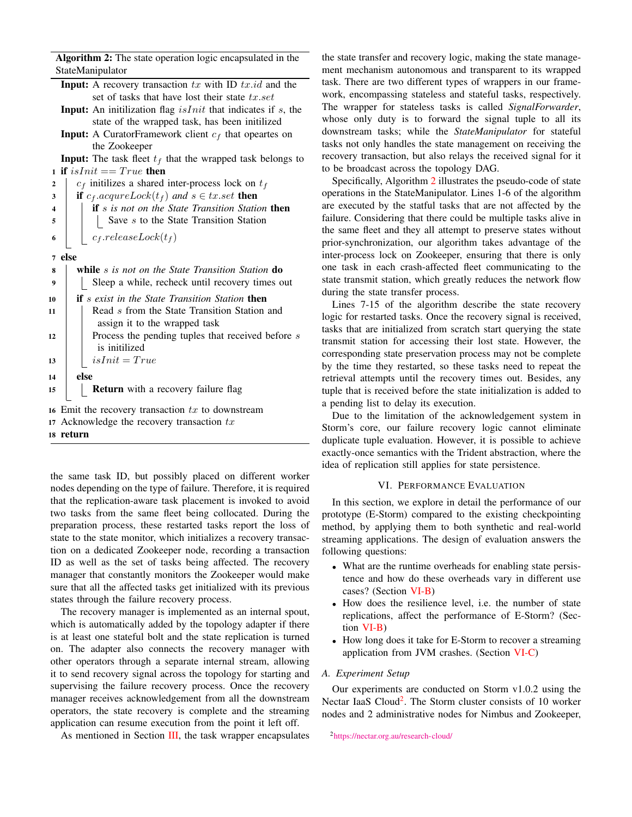Algorithm 2: The state operation logic encapsulated in the StateManipulator

- **Input:** A recovery transaction  $tx$  with ID  $tx.id$  and the set of tasks that have lost their state  $tx.set$
- **Input:** An initilization flag  $isInit$  that indicates if  $s$ , the state of the wrapped task, has been initilized
- **Input:** A CuratorFramework client  $c_f$  that opeartes on the Zookeeper

**Input:** The task fleet  $t_f$  that the wrapped task belongs to 1 if  $isInit == True$  then

| $\overline{2}$          | $c_f$ initilizes a shared inter-process lock on $t_f$                                            |
|-------------------------|--------------------------------------------------------------------------------------------------|
| 3                       | <b>if</b> $c_f \text{.} \text{acquare} \text{Lock}(t_f)$ and $s \in tx \text{.} \text{set}$ then |
| $\overline{\mathbf{4}}$ | <b>if</b> s is not on the State Transition Station <b>then</b>                                   |
| 5                       | Save s to the State Transition Station                                                           |
| 6                       | $c_f. releaseLock(t_f)$                                                                          |
| $\overline{7}$          | else                                                                                             |
| 8                       | while s is not on the State Transition Station do                                                |
| 9                       | Sleep a while, recheck until recovery times out                                                  |
| 10                      | <b>if</b> s exist in the State Transition Station <b>then</b>                                    |
| 11                      | Read s from the State Transition Station and                                                     |
|                         | assign it to the wrapped task                                                                    |
| 12                      | Process the pending tuples that received before s<br>is initilized                               |
| 13                      | $isInit = True$                                                                                  |
| 14                      | else                                                                                             |

15 **Return** with a recovery failure flag

16 Emit the recovery transaction  $tx$  to downstream

17 Acknowledge the recovery transaction  $tx$ 

<span id="page-4-1"></span>18 return

the same task ID, but possibly placed on different worker nodes depending on the type of failure. Therefore, it is required that the replication-aware task placement is invoked to avoid two tasks from the same fleet being collocated. During the preparation process, these restarted tasks report the loss of state to the state monitor, which initializes a recovery transaction on a dedicated Zookeeper node, recording a transaction ID as well as the set of tasks being affected. The recovery manager that constantly monitors the Zookeeper would make sure that all the affected tasks get initialized with its previous states through the failure recovery process.

The recovery manager is implemented as an internal spout, which is automatically added by the topology adapter if there is at least one stateful bolt and the state replication is turned on. The adapter also connects the recovery manager with other operators through a separate internal stream, allowing it to send recovery signal across the topology for starting and supervising the failure recovery process. Once the recovery manager receives acknowledgement from all the downstream operators, the state recovery is complete and the streaming application can resume execution from the point it left off.

As mentioned in Section [III,](#page-1-1) the task wrapper encapsulates

the state transfer and recovery logic, making the state management mechanism autonomous and transparent to its wrapped task. There are two different types of wrappers in our framework, encompassing stateless and stateful tasks, respectively. The wrapper for stateless tasks is called *SignalForwarder*, whose only duty is to forward the signal tuple to all its downstream tasks; while the *StateManipulator* for stateful tasks not only handles the state management on receiving the recovery transaction, but also relays the received signal for it to be broadcast across the topology DAG.

Specifically, Algorithm [2](#page-4-1) illustrates the pseudo-code of state operations in the StateManipulator. Lines 1-6 of the algorithm are executed by the statful tasks that are not affected by the failure. Considering that there could be multiple tasks alive in the same fleet and they all attempt to preserve states without prior-synchronization, our algorithm takes advantage of the inter-process lock on Zookeeper, ensuring that there is only one task in each crash-affected fleet communicating to the state transmit station, which greatly reduces the network flow during the state transfer process.

Lines 7-15 of the algorithm describe the state recovery logic for restarted tasks. Once the recovery signal is received, tasks that are initialized from scratch start querying the state transmit station for accessing their lost state. However, the corresponding state preservation process may not be complete by the time they restarted, so these tasks need to repeat the retrieval attempts until the recovery times out. Besides, any tuple that is received before the state initialization is added to a pending list to delay its execution.

Due to the limitation of the acknowledgement system in Storm's core, our failure recovery logic cannot eliminate duplicate tuple evaluation. However, it is possible to achieve exactly-once semantics with the Trident abstraction, where the idea of replication still applies for state persistence.

## VI. PERFORMANCE EVALUATION

<span id="page-4-0"></span>In this section, we explore in detail the performance of our prototype (E-Storm) compared to the existing checkpointing method, by applying them to both synthetic and real-world streaming applications. The design of evaluation answers the following questions:

- What are the runtime overheads for enabling state persistence and how do these overheads vary in different use cases? (Section [VI-B\)](#page-6-0)
- How does the resilience level, i.e. the number of state replications, affect the performance of E-Storm? (Section [VI-B\)](#page-6-0)
- How long does it take for E-Storm to recover a streaming application from JVM crashes. (Section [VI-C\)](#page-6-1)

## *A. Experiment Setup*

<span id="page-4-2"></span>Our experiments are conducted on Storm v1.0.2 using the Nectar IaaS Cloud<sup>[2](#page-4-2)</sup>. The Storm cluster consists of 10 worker nodes and 2 administrative nodes for Nimbus and Zookeeper,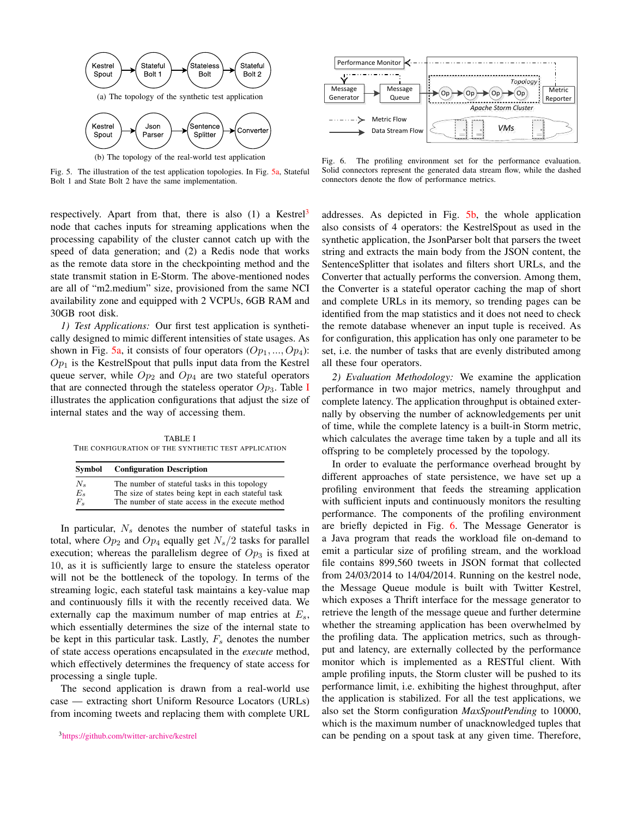<span id="page-5-3"></span><span id="page-5-0"></span>

(b) The topology of the real-world test application

Fig. 5. The illustration of the test application topologies. In Fig. [5a,](#page-5-0) Stateful Bolt 1 and State Bolt 2 have the same implementation.

respectively. Apart from that, there is also  $(1)$  a Kestrel<sup>[3](#page-5-1)</sup> node that caches inputs for streaming applications when the processing capability of the cluster cannot catch up with the speed of data generation; and (2) a Redis node that works as the remote data store in the checkpointing method and the state transmit station in E-Storm. The above-mentioned nodes are all of "m2.medium" size, provisioned from the same NCI availability zone and equipped with 2 VCPUs, 6GB RAM and 30GB root disk.

*1) Test Applications:* Our first test application is synthetically designed to mimic different intensities of state usages. As shown in Fig. [5a,](#page-5-0) it consists of four operators  $(Op_1, ..., Op_4)$ :  $Op<sub>1</sub>$  is the KestrelSpout that pulls input data from the Kestrel queue server, while  $Op_2$  and  $Op_4$  are two stateful operators that are connected through the stateless operator  $Op_3$ . Table [I](#page-5-2) illustrates the application configurations that adjust the size of internal states and the way of accessing them.

<span id="page-5-2"></span>TABLE I THE CONFIGURATION OF THE SYNTHETIC TEST APPLICATION

| Symbol      | <b>Configuration Description</b>                    |
|-------------|-----------------------------------------------------|
| $N_{\rm s}$ | The number of stateful tasks in this topology       |
| $E_s$       | The size of states being kept in each stateful task |
| $F_{s}$     | The number of state access in the execute method    |

In particular,  $N_s$  denotes the number of stateful tasks in total, where  $Op_2$  and  $Op_4$  equally get  $N_s/2$  tasks for parallel execution; whereas the parallelism degree of  $Op<sub>3</sub>$  is fixed at 10, as it is sufficiently large to ensure the stateless operator will not be the bottleneck of the topology. In terms of the streaming logic, each stateful task maintains a key-value map and continuously fills it with the recently received data. We externally cap the maximum number of map entries at  $E_s$ , which essentially determines the size of the internal state to be kept in this particular task. Lastly,  $F_s$  denotes the number of state access operations encapsulated in the *execute* method, which effectively determines the frequency of state access for processing a single tuple.

<span id="page-5-1"></span>The second application is drawn from a real-world use case — extracting short Uniform Resource Locators (URLs) from incoming tweets and replacing them with complete URL



<span id="page-5-4"></span>Fig. 6. The profiling environment set for the performance evaluation. Solid connectors represent the generated data stream flow, while the dashed connectors denote the flow of performance metrics.

addresses. As depicted in Fig. [5b,](#page-5-3) the whole application also consists of 4 operators: the KestrelSpout as used in the synthetic application, the JsonParser bolt that parsers the tweet string and extracts the main body from the JSON content, the SentenceSplitter that isolates and filters short URLs, and the Converter that actually performs the conversion. Among them, the Converter is a stateful operator caching the map of short and complete URLs in its memory, so trending pages can be identified from the map statistics and it does not need to check the remote database whenever an input tuple is received. As for configuration, this application has only one parameter to be set, i.e. the number of tasks that are evenly distributed among all these four operators.

*2) Evaluation Methodology:* We examine the application performance in two major metrics, namely throughput and complete latency. The application throughput is obtained externally by observing the number of acknowledgements per unit of time, while the complete latency is a built-in Storm metric, which calculates the average time taken by a tuple and all its offspring to be completely processed by the topology.

In order to evaluate the performance overhead brought by different approaches of state persistence, we have set up a profiling environment that feeds the streaming application with sufficient inputs and continuously monitors the resulting performance. The components of the profiling environment are briefly depicted in Fig. [6.](#page-5-4) The Message Generator is a Java program that reads the workload file on-demand to emit a particular size of profiling stream, and the workload file contains 899,560 tweets in JSON format that collected from 24/03/2014 to 14/04/2014. Running on the kestrel node, the Message Queue module is built with Twitter Kestrel, which exposes a Thrift interface for the message generator to retrieve the length of the message queue and further determine whether the streaming application has been overwhelmed by the profiling data. The application metrics, such as throughput and latency, are externally collected by the performance monitor which is implemented as a RESTful client. With ample profiling inputs, the Storm cluster will be pushed to its performance limit, i.e. exhibiting the highest throughput, after the application is stabilized. For all the test applications, we also set the Storm configuration *MaxSpoutPending* to 10000, which is the maximum number of unacknowledged tuples that can be pending on a spout task at any given time. Therefore,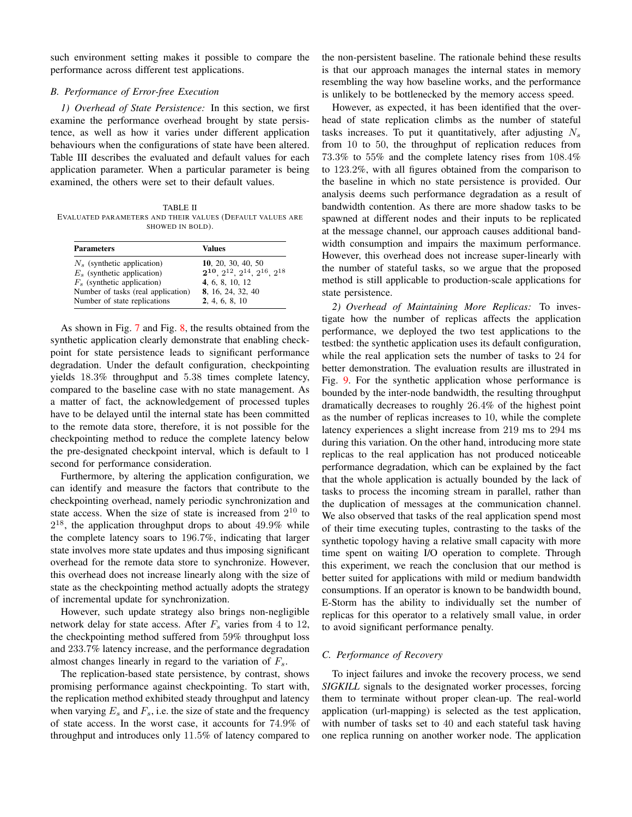such environment setting makes it possible to compare the performance across different test applications.

#### <span id="page-6-0"></span>*B. Performance of Error-free Execution*

*1) Overhead of State Persistence:* In this section, we first examine the performance overhead brought by state persistence, as well as how it varies under different application behaviours when the configurations of state have been altered. Table III describes the evaluated and default values for each application parameter. When a particular parameter is being examined, the others were set to their default values.

TABLE II EVALUATED PARAMETERS AND THEIR VALUES (DEFAULT VALUES ARE SHOWED IN BOLD).

| <b>Parameters</b>                  | Values                                   |  |  |  |
|------------------------------------|------------------------------------------|--|--|--|
| $N_s$ (synthetic application)      | 10, 20, 30, 40, 50                       |  |  |  |
| $E_s$ (synthetic application)      | $2^{10}, 2^{12}, 2^{14}, 2^{16}, 2^{18}$ |  |  |  |
| $F_s$ (synthetic application)      | 4, 6, 8, 10, 12                          |  |  |  |
| Number of tasks (real application) | 8, 16, 24, 32, 40                        |  |  |  |
| Number of state replications       | 2, 4, 6, 8, 10                           |  |  |  |

As shown in Fig. [7](#page-7-0) and Fig. [8,](#page-7-1) the results obtained from the synthetic application clearly demonstrate that enabling checkpoint for state persistence leads to significant performance degradation. Under the default configuration, checkpointing yields 18.3% throughput and 5.38 times complete latency, compared to the baseline case with no state management. As a matter of fact, the acknowledgement of processed tuples have to be delayed until the internal state has been committed to the remote data store, therefore, it is not possible for the checkpointing method to reduce the complete latency below the pre-designated checkpoint interval, which is default to 1 second for performance consideration.

Furthermore, by altering the application configuration, we can identify and measure the factors that contribute to the checkpointing overhead, namely periodic synchronization and state access. When the size of state is increased from  $2^{10}$  to  $2^{18}$ , the application throughput drops to about  $49.9\%$  while the complete latency soars to 196.7%, indicating that larger state involves more state updates and thus imposing significant overhead for the remote data store to synchronize. However, this overhead does not increase linearly along with the size of state as the checkpointing method actually adopts the strategy of incremental update for synchronization.

However, such update strategy also brings non-negligible network delay for state access. After  $F_s$  varies from 4 to 12, the checkpointing method suffered from 59% throughput loss and 233.7% latency increase, and the performance degradation almost changes linearly in regard to the variation of  $F_s$ .

The replication-based state persistence, by contrast, shows promising performance against checkpointing. To start with, the replication method exhibited steady throughput and latency when varying  $E_s$  and  $F_s$ , i.e. the size of state and the frequency of state access. In the worst case, it accounts for 74.9% of throughput and introduces only 11.5% of latency compared to the non-persistent baseline. The rationale behind these results is that our approach manages the internal states in memory resembling the way how baseline works, and the performance is unlikely to be bottlenecked by the memory access speed.

However, as expected, it has been identified that the overhead of state replication climbs as the number of stateful tasks increases. To put it quantitatively, after adjusting  $N_s$ from 10 to 50, the throughput of replication reduces from 73.3% to 55% and the complete latency rises from 108.4% to 123.2%, with all figures obtained from the comparison to the baseline in which no state persistence is provided. Our analysis deems such performance degradation as a result of bandwidth contention. As there are more shadow tasks to be spawned at different nodes and their inputs to be replicated at the message channel, our approach causes additional bandwidth consumption and impairs the maximum performance. However, this overhead does not increase super-linearly with the number of stateful tasks, so we argue that the proposed method is still applicable to production-scale applications for state persistence.

*2) Overhead of Maintaining More Replicas:* To investigate how the number of replicas affects the application performance, we deployed the two test applications to the testbed: the synthetic application uses its default configuration, while the real application sets the number of tasks to 24 for better demonstration. The evaluation results are illustrated in Fig. [9.](#page-7-2) For the synthetic application whose performance is bounded by the inter-node bandwidth, the resulting throughput dramatically decreases to roughly 26.4% of the highest point as the number of replicas increases to 10, while the complete latency experiences a slight increase from 219 ms to 294 ms during this variation. On the other hand, introducing more state replicas to the real application has not produced noticeable performance degradation, which can be explained by the fact that the whole application is actually bounded by the lack of tasks to process the incoming stream in parallel, rather than the duplication of messages at the communication channel. We also observed that tasks of the real application spend most of their time executing tuples, contrasting to the tasks of the synthetic topology having a relative small capacity with more time spent on waiting I/O operation to complete. Through this experiment, we reach the conclusion that our method is better suited for applications with mild or medium bandwidth consumptions. If an operator is known to be bandwidth bound, E-Storm has the ability to individually set the number of replicas for this operator to a relatively small value, in order to avoid significant performance penalty.

# <span id="page-6-1"></span>*C. Performance of Recovery*

To inject failures and invoke the recovery process, we send *SIGKILL* signals to the designated worker processes, forcing them to terminate without proper clean-up. The real-world application (url-mapping) is selected as the test application, with number of tasks set to 40 and each stateful task having one replica running on another worker node. The application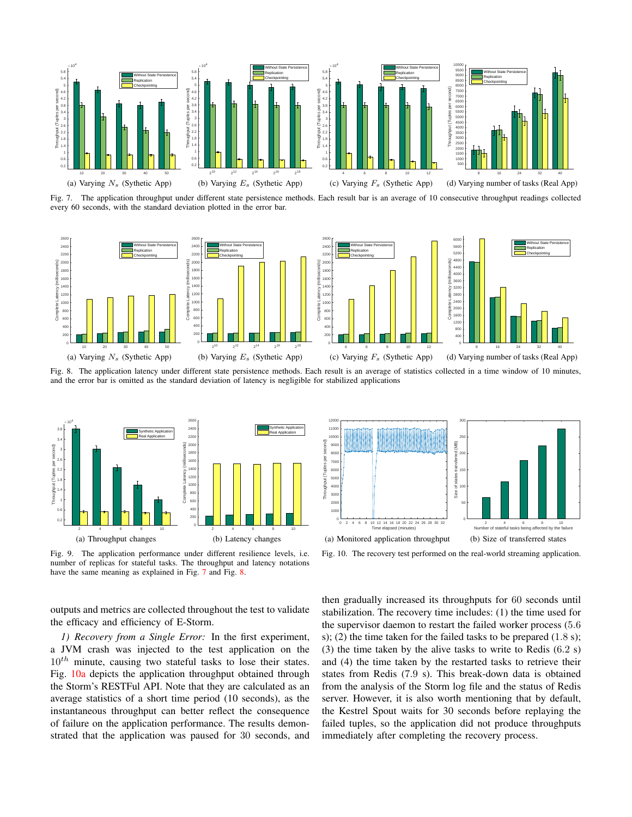

<span id="page-7-0"></span>Fig. 7. The application throughput under different state persistence methods. Each result bar is an average of 10 consecutive throughput readings collected every 60 seconds, with the standard deviation plotted in the error bar.



<span id="page-7-1"></span>Fig. 8. The application latency under different state persistence methods. Each result is an average of statistics collected in a time window of 10 minutes, and the error bar is omitted as the standard deviation of latency is negligible for stabilized applications



<span id="page-7-3"></span> $12000 -$ 300 **r** 11000 10000 250 Throughput (Tuples per second) Size of states transferred (MB)<br> $\approx$   $\approx$ 9000 8000 200 hroughput (Tuples per 7<sub>00</sub> 6000 150 Size of states 50 400 100 3000 2000 50 1000 0 0 0 2 4 6 8 10 12 14 16 18 20 22 24 26 28 30 32 Time elapsed (minutes) 2 4 6 8 10 Number of stateful tasks being affected by the failure (a) Monitored application throughput (b) Size of transferred states

<span id="page-7-2"></span>Fig. 9. The application performance under different resilience levels, i.e. number of replicas for stateful tasks. The throughput and latency notations have the same meaning as explained in Fig. [7](#page-7-0) and Fig. [8.](#page-7-1)

outputs and metrics are collected throughout the test to validate the efficacy and efficiency of E-Storm.

*1) Recovery from a Single Error:* In the first experiment, a JVM crash was injected to the test application on the  $10^{th}$  minute, causing two stateful tasks to lose their states. Fig. [10a](#page-7-3) depicts the application throughput obtained through the Storm's RESTFul API. Note that they are calculated as an average statistics of a short time period (10 seconds), as the instantaneous throughput can better reflect the consequence of failure on the application performance. The results demonstrated that the application was paused for 30 seconds, and

<span id="page-7-4"></span>Fig. 10. The recovery test performed on the real-world streaming application.

then gradually increased its throughputs for 60 seconds until stabilization. The recovery time includes: (1) the time used for the supervisor daemon to restart the failed worker process (5.6 s); (2) the time taken for the failed tasks to be prepared (1.8 s); (3) the time taken by the alive tasks to write to Redis (6.2 s) and (4) the time taken by the restarted tasks to retrieve their states from Redis (7.9 s). This break-down data is obtained from the analysis of the Storm log file and the status of Redis server. However, it is also worth mentioning that by default, the Kestrel Spout waits for 30 seconds before replaying the failed tuples, so the application did not produce throughputs immediately after completing the recovery process.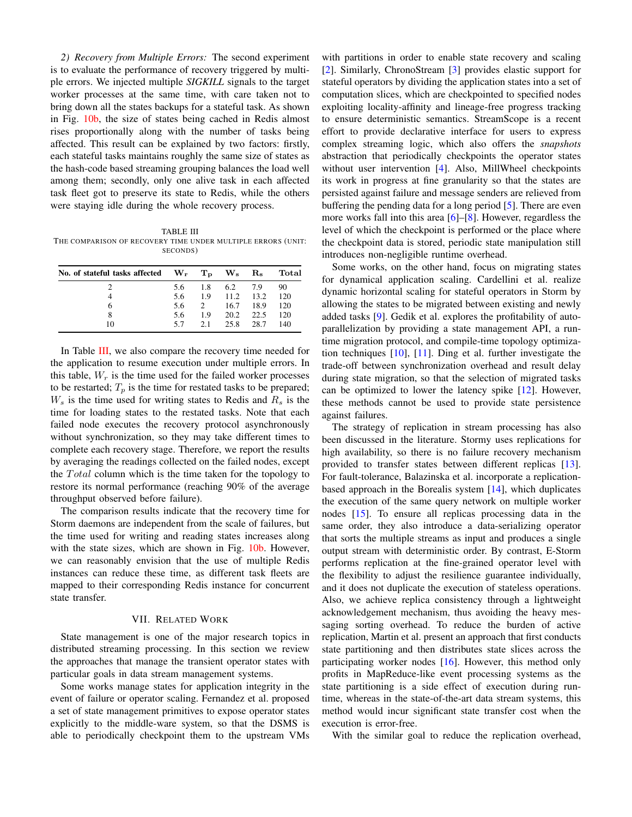*2) Recovery from Multiple Errors:* The second experiment is to evaluate the performance of recovery triggered by multiple errors. We injected multiple *SIGKILL* signals to the target worker processes at the same time, with care taken not to bring down all the states backups for a stateful task. As shown in Fig. [10b,](#page-7-4) the size of states being cached in Redis almost rises proportionally along with the number of tasks being affected. This result can be explained by two factors: firstly, each stateful tasks maintains roughly the same size of states as the hash-code based streaming grouping balances the load well among them; secondly, only one alive task in each affected task fleet got to preserve its state to Redis, while the others were staying idle during the whole recovery process.

<span id="page-8-1"></span>TABLE III THE COMPARISON OF RECOVERY TIME UNDER MULTIPLE ERRORS (UNIT: SECONDS)

| No. of stateful tasks affected $W_r$ $T_p$ $W_s$ $R_s$ |     |             |           |      | Total |
|--------------------------------------------------------|-----|-------------|-----------|------|-------|
|                                                        | 5.6 | 1.8         | 6.2 7.9   |      | 90    |
|                                                        | 5.6 | 1.9         | 11.2 13.2 |      | 120   |
| 6                                                      | 5.6 | $2^{\circ}$ | 16.7      | 18.9 | 120   |
| 8                                                      | 5.6 | 1.9         | 20.2 22.5 |      | 120   |
| 10                                                     | 57  | 21          | 25.8      | 28.7 | 140   |

In Table [III,](#page-8-1) we also compare the recovery time needed for the application to resume execution under multiple errors. In this table,  $W_r$  is the time used for the failed worker processes to be restarted;  $T_p$  is the time for restated tasks to be prepared;  $W_s$  is the time used for writing states to Redis and  $R_s$  is the time for loading states to the restated tasks. Note that each failed node executes the recovery protocol asynchronously without synchronization, so they may take different times to complete each recovery stage. Therefore, we report the results by averaging the readings collected on the failed nodes, except the *Total* column which is the time taken for the topology to restore its normal performance (reaching 90% of the average throughput observed before failure).

The comparison results indicate that the recovery time for Storm daemons are independent from the scale of failures, but the time used for writing and reading states increases along with the state sizes, which are shown in Fig. [10b.](#page-7-4) However, we can reasonably envision that the use of multiple Redis instances can reduce these time, as different task fleets are mapped to their corresponding Redis instance for concurrent state transfer.

## VII. RELATED WORK

<span id="page-8-0"></span>State management is one of the major research topics in distributed streaming processing. In this section we review the approaches that manage the transient operator states with particular goals in data stream management systems.

Some works manage states for application integrity in the event of failure or operator scaling. Fernandez et al. proposed a set of state management primitives to expose operator states explicitly to the middle-ware system, so that the DSMS is able to periodically checkpoint them to the upstream VMs

with partitions in order to enable state recovery and scaling [\[2\]](#page-9-2). Similarly, ChronoStream [\[3\]](#page-9-3) provides elastic support for stateful operators by dividing the application states into a set of computation slices, which are checkpointed to specified nodes exploiting locality-affinity and lineage-free progress tracking to ensure deterministic semantics. StreamScope is a recent effort to provide declarative interface for users to express complex streaming logic, which also offers the *snapshots* abstraction that periodically checkpoints the operator states without user intervention [\[4\]](#page-9-4). Also, MillWheel checkpoints its work in progress at fine granularity so that the states are persisted against failure and message senders are relieved from buffering the pending data for a long period [\[5\]](#page-9-5). There are even more works fall into this area [\[6\]](#page-9-6)–[\[8\]](#page-9-7). However, regardless the level of which the checkpoint is performed or the place where the checkpoint data is stored, periodic state manipulation still introduces non-negligible runtime overhead.

Some works, on the other hand, focus on migrating states for dynamical application scaling. Cardellini et al. realize dynamic horizontal scaling for stateful operators in Storm by allowing the states to be migrated between existing and newly added tasks [\[9\]](#page-9-8). Gedik et al. explores the profitability of autoparallelization by providing a state management API, a runtime migration protocol, and compile-time topology optimization techniques [\[10\]](#page-9-9), [\[11\]](#page-9-10). Ding et al. further investigate the trade-off between synchronization overhead and result delay during state migration, so that the selection of migrated tasks can be optimized to lower the latency spike [\[12\]](#page-9-11). However, these methods cannot be used to provide state persistence against failures.

The strategy of replication in stream processing has also been discussed in the literature. Stormy uses replications for high availability, so there is no failure recovery mechanism provided to transfer states between different replicas [\[13\]](#page-9-12). For fault-tolerance, Balazinska et al. incorporate a replicationbased approach in the Borealis system [\[14\]](#page-9-13), which duplicates the execution of the same query network on multiple worker nodes [\[15\]](#page-9-14). To ensure all replicas processing data in the same order, they also introduce a data-serializing operator that sorts the multiple streams as input and produces a single output stream with deterministic order. By contrast, E-Storm performs replication at the fine-grained operator level with the flexibility to adjust the resilience guarantee individually, and it does not duplicate the execution of stateless operations. Also, we achieve replica consistency through a lightweight acknowledgement mechanism, thus avoiding the heavy messaging sorting overhead. To reduce the burden of active replication, Martin et al. present an approach that first conducts state partitioning and then distributes state slices across the participating worker nodes [\[16\]](#page-9-15). However, this method only profits in MapReduce-like event processing systems as the state partitioning is a side effect of execution during runtime, whereas in the state-of-the-art data stream systems, this method would incur significant state transfer cost when the execution is error-free.

With the similar goal to reduce the replication overhead,